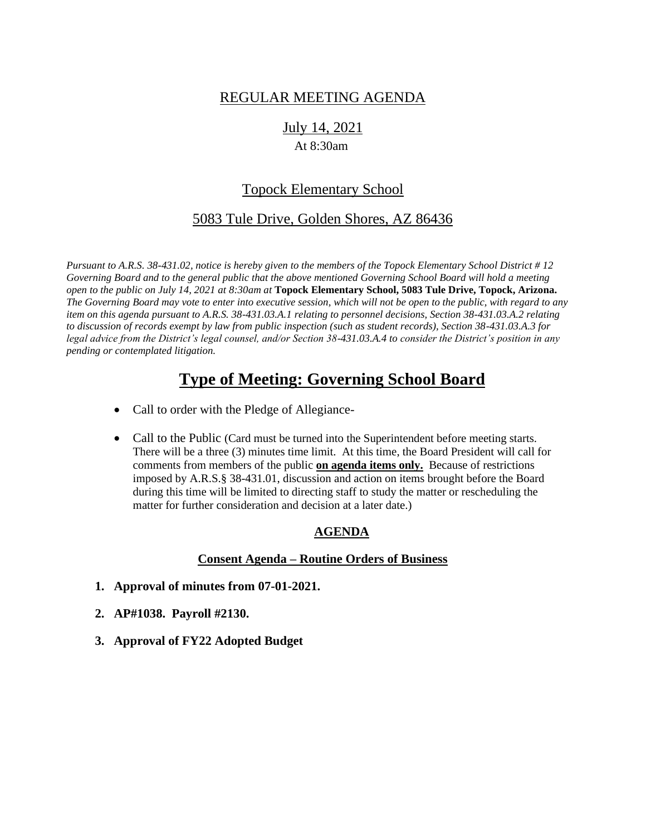## REGULAR MEETING AGENDA

# July 14, 2021

### At 8:30am

## Topock Elementary School

## 5083 Tule Drive, Golden Shores, AZ 86436

*Pursuant to A.R.S. 38-431.02, notice is hereby given to the members of the Topock Elementary School District # 12 Governing Board and to the general public that the above mentioned Governing School Board will hold a meeting open to the public on July 14, 2021 at 8:30am at* **Topock Elementary School, 5083 Tule Drive, Topock, Arizona.**  *The Governing Board may vote to enter into executive session, which will not be open to the public, with regard to any item on this agenda pursuant to A.R.S. 38-431.03.A.1 relating to personnel decisions, Section 38-431.03.A.2 relating to discussion of records exempt by law from public inspection (such as student records), Section 38-431.03.A.3 for legal advice from the District's legal counsel, and/or Section 38-431.03.A.4 to consider the District's position in any pending or contemplated litigation.*

## **Type of Meeting: Governing School Board**

- Call to order with the Pledge of Allegiance-
- Call to the Public (Card must be turned into the Superintendent before meeting starts. There will be a three (3) minutes time limit. At this time, the Board President will call for comments from members of the public **on agenda items only.** Because of restrictions imposed by A.R.S.§ 38-431.01, discussion and action on items brought before the Board during this time will be limited to directing staff to study the matter or rescheduling the matter for further consideration and decision at a later date.)

### **AGENDA**

#### **Consent Agenda – Routine Orders of Business**

- **1. Approval of minutes from 07-01-2021.**
- **2. AP#1038. Payroll #2130.**
- **3. Approval of FY22 Adopted Budget**